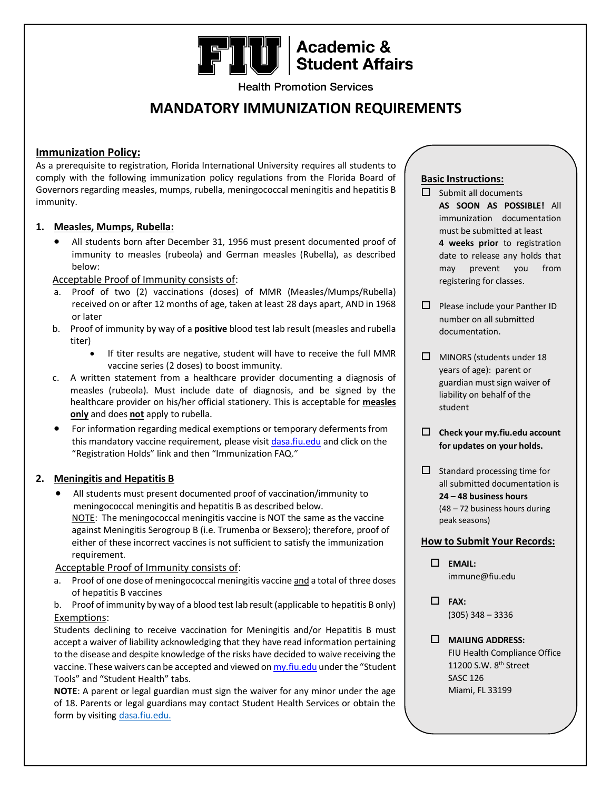# **FIU** Academic &

**Health Promotion Services** 

## **MANDATORY IMMUNIZATION REQUIREMENTS**

#### **Immunization Policy:**

As a prerequisite to registration, Florida International University requires all students to comply with the following immunization policy regulations from the Florida Board of Governors regarding measles, mumps, rubella, meningococcal meningitis and hepatitis B immunity.

#### **1. Measles, Mumps, Rubella:**

• All students born after December 31, 1956 must present documented proof of immunity to measles (rubeola) and German measles (Rubella), as described below:

#### Acceptable Proof of Immunity consists of:

- a. Proof of two (2) vaccinations (doses) of MMR (Measles/Mumps/Rubella) received on or after 12 months of age, taken at least 28 days apart, AND in 1968 or later
- b. Proof of immunity by way of a **positive** blood test lab result (measles and rubella titer)
	- If titer results are negative, student will have to receive the full MMR vaccine series (2 doses) to boost immunity.
- c. A written statement from a healthcare provider documenting a diagnosis of measles (rubeola). Must include date of diagnosis, and be signed by the healthcare provider on his/her official stationery. This is acceptable for **measles only** and does **not** apply to rubella.
- For information regarding medical exemptions or temporary deferments from this mandatory vaccine requirement, please visi[t dasa.fiu.edu](https://dasa.fiu.edu/student-support/wellness/immunization-insurance/immunization/index.html) and click on the "Registration Holds" link and then "Immunization FAQ."

#### **2. Meningitis and Hepatitis B**

• All students must present documented proof of vaccination/immunity to meningococcal meningitis and hepatitis B as described below. NOTE: The meningococcal meningitis vaccine is NOT the same as the vaccine against Meningitis Serogroup B (i.e. Trumenba or Bexsero); therefore, proof of either of these incorrect vaccines is not sufficient to satisfy the immunization requirement.

#### Acceptable Proof of Immunity consists of:

- a. Proof of one dose of meningococcal meningitis vaccine and a total of three doses of hepatitis B vaccines
- b. Proof of immunity by way of a blood test lab result (applicable to hepatitis B only) Exemptions:

Students declining to receive vaccination for Meningitis and/or Hepatitis B must accept a waiver of liability acknowledging that they have read information pertaining to the disease and despite knowledge of the risks have decided to waive receiving the vaccine. These waivers can be accepted and viewed o[n my.fiu.edu](https://my.fiu.edu/) under the "Student Tools" and "Student Health" tabs.

**NOTE**: A parent or legal guardian must sign the waiver for any minor under the age of 18. Parents or legal guardians may contact Student Health Services or obtain the form by visiting [dasa.fiu.edu.](https://dasa.fiu.edu/student-support/wellness/immunization-insurance/immunization/index.html)

### **Basic Instructions:**

- $\Box$  Submit all documents **AS SOON AS POSSIBLE!** All immunization documentation must be submitted at least **4 weeks prior** to registration date to release any holds that may prevent you from registering for classes.
- $\Box$  Please include your Panther ID number on all submitted documentation.
- $\Box$  MINORS (students under 18 years of age): parent or guardian must sign waiver of liability on behalf of the student
- **Check your my.fiu.edu account for updates on your holds.**
- $\Box$  Standard processing time for all submitted documentation is **24 – 48 business hours** (48 – 72 business hours during peak seasons)

#### **How to Submit Your Records:**

- **EMAIL:** immune@fiu.edu
- **FAX:** (305) 348 – 3336
- **MAILING ADDRESS:** FIU Health Compliance Office 11200 S.W. 8th Street SASC 126 Miami, FL 33199